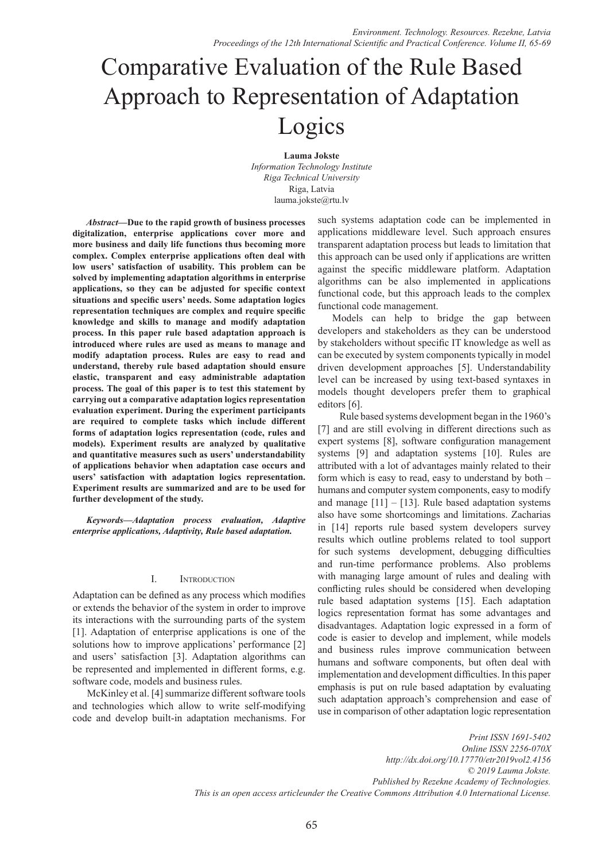# Comparative Evaluation of the Rule Based Approach to Representation of Adaptation Logics

**Lauma Jokste** *Information Technology Institute Riga Technical University*  Riga, Latvia lauma.jokste@rtu.lv

*Abstract***—Due to the rapid growth of business processes digitalization, enterprise applications cover more and more business and daily life functions thus becoming more complex. Complex enterprise applications often deal with low users' satisfaction of usability. This problem can be solved by implementing adaptation algorithms in enterprise applications, so they can be adjusted for specific context situations and specific users' needs. Some adaptation logics representation techniques are complex and require specific knowledge and skills to manage and modify adaptation process. In this paper rule based adaptation approach is introduced where rules are used as means to manage and modify adaptation process. Rules are easy to read and understand, thereby rule based adaptation should ensure elastic, transparent and easy administrable adaptation process. The goal of this paper is to test this statement by carrying out a comparative adaptation logics representation evaluation experiment. During the experiment participants are required to complete tasks which include different forms of adaptation logics representation (code, rules and models). Experiment results are analyzed by qualitative and quantitative measures such as users' understandability of applications behavior when adaptation case occurs and users' satisfaction with adaptation logics representation. Experiment results are summarized and are to be used for further development of the study.**

*Keywords—Adaptation process evaluation, Adaptive enterprise applications, Adaptivity, Rule based adaptation.*

# I. Introduction

Adaptation can be defined as any process which modifies or extends the behavior of the system in order to improve its interactions with the surrounding parts of the system [1]. Adaptation of enterprise applications is one of the solutions how to improve applications' performance [2] and users' satisfaction [3]. Adaptation algorithms can be represented and implemented in different forms, e.g. software code, models and business rules.

McKinley et al. [4] summarize different software tools and technologies which allow to write self-modifying code and develop built-in adaptation mechanisms. For

such systems adaptation code can be implemented in applications middleware level. Such approach ensures transparent adaptation process but leads to limitation that this approach can be used only if applications are written against the specific middleware platform. Adaptation algorithms can be also implemented in applications functional code, but this approach leads to the complex functional code management.

Models can help to bridge the gap between developers and stakeholders as they can be understood by stakeholders without specific IT knowledge as well as can be executed by system components typically in model driven development approaches [5]. Understandability level can be increased by using text-based syntaxes in models thought developers prefer them to graphical editors [6].

Rule based systems development began in the 1960's [7] and are still evolving in different directions such as expert systems [8], software configuration management systems [9] and adaptation systems [10]. Rules are attributed with a lot of advantages mainly related to their form which is easy to read, easy to understand by both – humans and computer system components, easy to modify and manage  $[11] - [13]$ . Rule based adaptation systems also have some shortcomings and limitations. Zacharias in [14] reports rule based system developers survey results which outline problems related to tool support for such systems development, debugging difficulties and run-time performance problems. Also problems with managing large amount of rules and dealing with conflicting rules should be considered when developing rule based adaptation systems [15]. Each adaptation logics representation format has some advantages and disadvantages. Adaptation logic expressed in a form of code is easier to develop and implement, while models and business rules improve communication between humans and software components, but often deal with implementation and development difficulties. In this paper emphasis is put on rule based adaptation by evaluating such adaptation approach's comprehension and ease of use in comparison of other adaptation logic representation

*Print ISSN 1691-5402 Online ISSN 2256-070X http://dx.doi.org/10.17770/etr2019vol2.4156 © 2019 Lauma Jokste. Published by Rezekne Academy of Technologies. This is an open access articleunder the Creative Commons Attribution 4.0 International License.*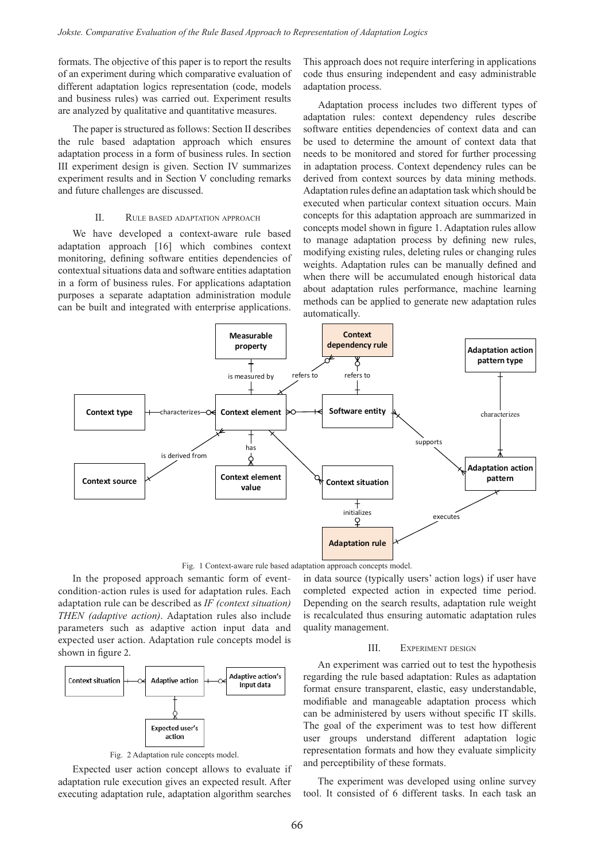formats. The objective of this paper is to report the results of an experiment during which comparative evaluation of different adaptation logics representation (code, models and business rules) was carried out. Experiment results are analyzed by qualitative and quantitative measures.

The paper is structured as follows: Section II describes the rule based adaptation approach which ensures adaptation process in a form of business rules. In section III experiment design is given. Section IV summarizes experiment results and in Section V concluding remarks and future challenges are discussed.

## II. Rule based adaptation approach

We have developed a context-aware rule based adaptation approach [16] which combines context monitoring, defining software entities dependencies of contextual situations data and software entities adaptation in a form of business rules. For applications adaptation purposes a separate adaptation administration module can be built and integrated with enterprise applications.

This approach does not require interfering in applications code thus ensuring independent and easy administrable adaptation process.

Adaptation process includes two different types of adaptation rules: context dependency rules describe software entities dependencies of context data and can be used to determine the amount of context data that needs to be monitored and stored for further processing in adaptation process. Context dependency rules can be derived from context sources by data mining methods. Adaptation rules define an adaptation task which should be executed when particular context situation occurs. Main concepts for this adaptation approach are summarized in concepts model shown in figure 1. Adaptation rules allow to manage adaptation process by defining new rules, modifying existing rules, deleting rules or changing rules weights. Adaptation rules can be manually defined and when there will be accumulated enough historical data about adaptation rules performance, machine learning methods can be applied to generate new adaptation rules automatically.



Fig. 1 Context-aware rule based adaptation approach concepts model.

In the proposed approach semantic form of eventcondition-action rules is used for adaptation rules. Each adaptation rule can be described as *IF (context situation) THEN (adaptive action)*. Adaptation rules also include parameters such as adaptive action input data and expected user action. Adaptation rule concepts model is shown in figure 2.



Fig. 2 Adaptation rule concepts model.

Expected user action concept allows to evaluate if adaptation rule execution gives an expected result. After executing adaptation rule, adaptation algorithm searches

in data source (typically users' action logs) if user have completed expected action in expected time period. Depending on the search results, adaptation rule weight is recalculated thus ensuring automatic adaptation rules quality management.

### III. Experiment design

An experiment was carried out to test the hypothesis regarding the rule based adaptation: Rules as adaptation format ensure transparent, elastic, easy understandable, modifiable and manageable adaptation process which can be administered by users without specific IT skills. The goal of the experiment was to test how different user groups understand different adaptation logic representation formats and how they evaluate simplicity and perceptibility of these formats.

The experiment was developed using online survey tool. It consisted of 6 different tasks. In each task an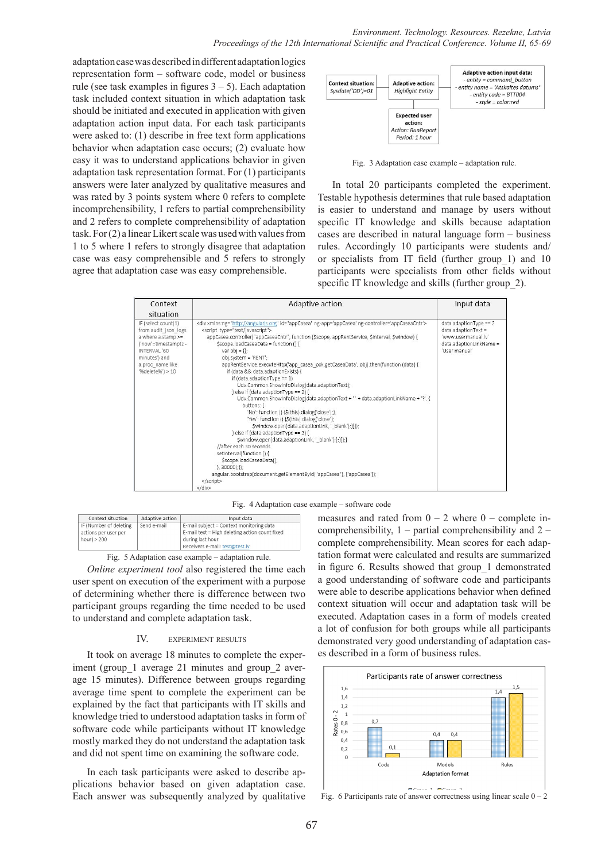adaptation case was described in different adaptation logics representation form – software code, model or business rule (see task examples in figures  $3 - 5$ ). Each adaptation task included context situation in which adaptation task should be initiated and executed in application with given adaptation action input data. For each task participants were asked to: (1) describe in free text form applications behavior when adaptation case occurs; (2) evaluate how easy it was to understand applications behavior in given adaptation task representation format. For (1) participants answers were later analyzed by qualitative measures and was rated by 3 points system where 0 refers to complete incomprehensibility, 1 refers to partial comprehensibility and 2 refers to complete comprehensibility of adaptation task. For (2) a linear Likert scale was used with values from 1 to 5 where 1 refers to strongly disagree that adaptation case was easy comprehensible and 5 refers to strongly agree that adaptation case was easy comprehensible.



Fig. 3 Adaptation case example – adaptation rule.

In total 20 participants completed the experiment. Testable hypothesis determines that rule based adaptation is easier to understand and manage by users without specific IT knowledge and skills because adaptation cases are described in natural language form – business rules. Accordingly 10 participants were students and/ or specialists from IT field (further group\_1) and 10 participants were specialists from other fields without specific IT knowledge and skills (further group 2).

| Context                                                                                                                                                             | Adaptive action                                                                                                                                                                                                                                                                                                                                                                                                                                                                                                                                                                                                                                                                                                                                                                                                                                                                                                                                                                                                                                                                                                                                                                                                                                                                 | Input data                                                                                                             |
|---------------------------------------------------------------------------------------------------------------------------------------------------------------------|---------------------------------------------------------------------------------------------------------------------------------------------------------------------------------------------------------------------------------------------------------------------------------------------------------------------------------------------------------------------------------------------------------------------------------------------------------------------------------------------------------------------------------------------------------------------------------------------------------------------------------------------------------------------------------------------------------------------------------------------------------------------------------------------------------------------------------------------------------------------------------------------------------------------------------------------------------------------------------------------------------------------------------------------------------------------------------------------------------------------------------------------------------------------------------------------------------------------------------------------------------------------------------|------------------------------------------------------------------------------------------------------------------------|
| situation                                                                                                                                                           |                                                                                                                                                                                                                                                                                                                                                                                                                                                                                                                                                                                                                                                                                                                                                                                                                                                                                                                                                                                                                                                                                                                                                                                                                                                                                 |                                                                                                                        |
| IF (select count(1)<br>from audit json logs<br>a where a.stamp >=<br>('now'::timestamptz -<br>INTERVAL '60<br>minutes') and<br>a.proc name like<br>'%delete%') > 10 | <div id="appCasea" ng-app="appCasea" ng-controller="appCaseaCntr" xmlns:ng="http://angularjs.org"><br/><script_type="text javascript"=""><br/>appCasea.controller("appCaseaCntr", function (\$scope, appRentService, \$interval, \$window) {<br/>\$scope.loadCaseaData = function () {<br/>var obj = <math>\{\}</math>:<br/>obj.system = 'RENT';<br/>appRentService.executeHttp('app casea pck.getCaseaData', obj).then(function (data) {<br/>if (data &amp;&amp; data.adaptionExists) {<br/>if <math>(data.addaptionType == 1)</math><br/>Udv.Common.ShowInfoDialog(data.adaptionText);<br/>} else if (data.adaptionType == 2) {<br/>Udv.Common.ShowInfoDialog(data.adaptionText + ' ' + data.adaptionLinkName + '?', {<br/>buttons: {<br/>'No': function () {\$(this).dialog('close');},<br/>'Yes': function () {\$(this).dialog('close');<br/>\$window.open(data.adaptionLink, ' blank');}}});<br/>} else if (data.adaptionType == 3) {<br/>\$window.open(data.adaptionLink, ' blank');};}});}<br/>//after each 30 seconds<br/>setInterval(function() {<br/>\$scope.loadCaseaData();<br/><math>\}</math>. 30000):<math>\}</math>:<br/>angular.bootstrap(document.getElementById("appCasea"), ['appCasea']);<br/><br/><math>\epsilon</math>/div&gt;</script_type="text></div> | $data.addoptionType == 2$<br>$data.addaptionText =$<br>'www.usermanual.lv'<br>data.adaptionLinkName =<br>'User manual' |

|  | Fig. 4 Adaptation case example – software code |  |  |
|--|------------------------------------------------|--|--|
|  |                                                |  |  |

| Context situation                                                | Adaptive action | Input data                                                                                                                                       |
|------------------------------------------------------------------|-----------------|--------------------------------------------------------------------------------------------------------------------------------------------------|
| IF (Number of deleting<br>actions per user per<br>$hour$ ) > 200 | Send e-mail     | E-mail subject = Context monitoring data<br>E-mail text = High deleting action count fixed<br>during last hour<br>Receivers e-mail: test@test.lv |

Fig. 5 Adaptation case example – adaptation rule.

*Online experiment tool* also registered the time each user spent on execution of the experiment with a purpose of determining whether there is difference between two participant groups regarding the time needed to be used to understand and complete adaptation task.

# IV. experiment results

It took on average 18 minutes to complete the experiment (group 1 average 21 minutes and group 2 average 15 minutes). Difference between groups regarding average time spent to complete the experiment can be explained by the fact that participants with IT skills and knowledge tried to understood adaptation tasks in form of software code while participants without IT knowledge mostly marked they do not understand the adaptation task and did not spent time on examining the software code.

In each task participants were asked to describe applications behavior based on given adaptation case. Each answer was subsequently analyzed by qualitative measures and rated from  $0 - 2$  where  $0 -$  complete incomprehensibility,  $1$  – partial comprehensibility and  $2$  – complete comprehensibility. Mean scores for each adaptation format were calculated and results are summarized in figure 6. Results showed that group\_1 demonstrated a good understanding of software code and participants were able to describe applications behavior when defined context situation will occur and adaptation task will be executed. Adaptation cases in a form of models created a lot of confusion for both groups while all participants demonstrated very good understanding of adaptation cases described in a form of business rules.



Fig. 6 Participants rate of answer correctness using linear scale  $0 - 2$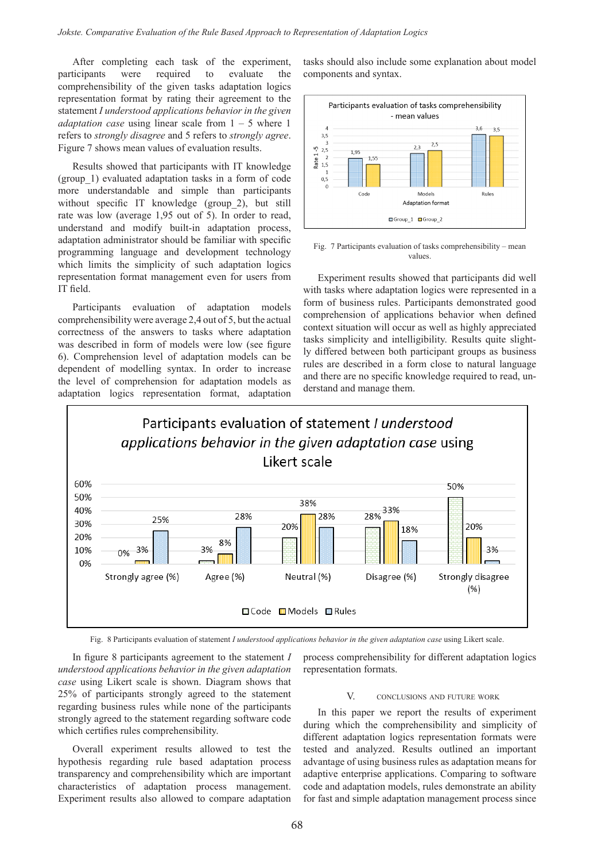After completing each task of the experiment, participants were required to evaluate the comprehensibility of the given tasks adaptation logics representation format by rating their agreement to the statement *I understood applications behavior in the given adaptation case* using linear scale from 1 – 5 where 1 refers to *strongly disagree* and 5 refers to *strongly agree*. Figure 7 shows mean values of evaluation results.

Results showed that participants with IT knowledge (group\_1) evaluated adaptation tasks in a form of code more understandable and simple than participants without specific IT knowledge (group 2), but still rate was low (average 1,95 out of 5). In order to read, understand and modify built-in adaptation process, adaptation administrator should be familiar with specific programming language and development technology which limits the simplicity of such adaptation logics representation format management even for users from IT field.

Participants evaluation of adaptation models comprehensibility were average 2,4 out of 5, but the actual correctness of the answers to tasks where adaptation was described in form of models were low (see figure 6). Comprehension level of adaptation models can be dependent of modelling syntax. In order to increase the level of comprehension for adaptation models as adaptation logics representation format, adaptation

tasks should also include some explanation about model components and syntax.



Fig. 7 Participants evaluation of tasks comprehensibility – mean values.

Experiment results showed that participants did well with tasks where adaptation logics were represented in a form of business rules. Participants demonstrated good comprehension of applications behavior when defined context situation will occur as well as highly appreciated tasks simplicity and intelligibility. Results quite slightly differed between both participant groups as business rules are described in a form close to natural language and there are no specific knowledge required to read, understand and manage them.



Fig. 8 Participants evaluation of statement *I understood applications behavior in the given adaptation case* using Likert scale.

In figure 8 participants agreement to the statement *I understood applications behavior in the given adaptation case* using Likert scale is shown. Diagram shows that 25% of participants strongly agreed to the statement regarding business rules while none of the participants strongly agreed to the statement regarding software code which certifies rules comprehensibility.

Overall experiment results allowed to test the hypothesis regarding rule based adaptation process transparency and comprehensibility which are important characteristics of adaptation process management. Experiment results also allowed to compare adaptation

process comprehensibility for different adaptation logics representation formats.

### V. CONCLUSIONS AND FUTURE WORK

In this paper we report the results of experiment during which the comprehensibility and simplicity of different adaptation logics representation formats were tested and analyzed. Results outlined an important advantage of using business rules as adaptation means for adaptive enterprise applications. Comparing to software code and adaptation models, rules demonstrate an ability for fast and simple adaptation management process since